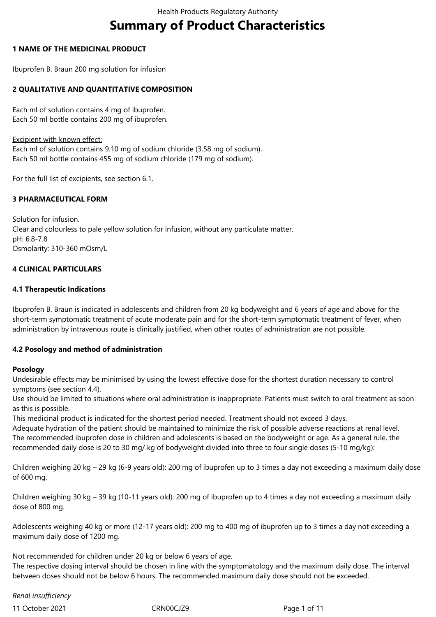# **Summary of Product Characteristics**

# **1 NAME OF THE MEDICINAL PRODUCT**

Ibuprofen B. Braun 200 mg solution for infusion

# **2 QUALITATIVE AND QUANTITATIVE COMPOSITION**

Each ml of solution contains 4 mg of ibuprofen. Each 50 ml bottle contains 200 mg of ibuprofen.

Excipient with known effect:

Each ml of solution contains 9.10 mg of sodium chloride (3.58 mg of sodium). Each 50 ml bottle contains 455 mg of sodium chloride (179 mg of sodium).

For the full list of excipients, see section 6.1.

# **3 PHARMACEUTICAL FORM**

Solution for infusion. Clear and colourless to pale yellow solution for infusion, without any particulate matter. pH: 6.8-7.8 Osmolarity: 310-360 mOsm/L

#### **4 CLINICAL PARTICULARS**

#### **4.1 Therapeutic Indications**

Ibuprofen B. Braun is indicated in adolescents and children from 20 kg bodyweight and 6 years of age and above for the short-term symptomatic treatment of acute moderate pain and for the short-term symptomatic treatment of fever, when administration by intravenous route is clinically justified, when other routes of administration are not possible.

# **4.2 Posology and method of administration**

#### **Posology**

Undesirable effects may be minimised by using the lowest effective dose for the shortest duration necessary to control symptoms (see section 4.4).

Use should be limited to situations where oral administration is inappropriate. Patients must switch to oral treatment as soon as this is possible.

This medicinal product is indicated for the shortest period needed. Treatment should not exceed 3 days.

Adequate hydration of the patient should be maintained to minimize the risk of possible adverse reactions at renal level. The recommended ibuprofen dose in children and adolescents is based on the bodyweight or age. As a general rule, the recommended daily dose is 20 to 30 mg/ kg of bodyweight divided into three to four single doses (5-10 mg/kg):

Children weighing 20 kg – 29 kg (6-9 years old): 200 mg of ibuprofen up to 3 times a day not exceeding a maximum daily dose of 600 mg.

Children weighing 30 kg – 39 kg (10-11 years old): 200 mg of ibuprofen up to 4 times a day not exceeding a maximum daily dose of 800 mg.

Adolescents weighing 40 kg or more (12-17 years old): 200 mg to 400 mg of ibuprofen up to 3 times a day not exceeding a maximum daily dose of 1200 mg.

Not recommended for children under 20 kg or below 6 years of age.

The respective dosing interval should be chosen in line with the symptomatology and the maximum daily dose. The interval between doses should not be below 6 hours. The recommended maximum daily dose should not be exceeded.

*Renal insufficiency* 

11 October 2021 CRN00CJZ9 Page 1 of 11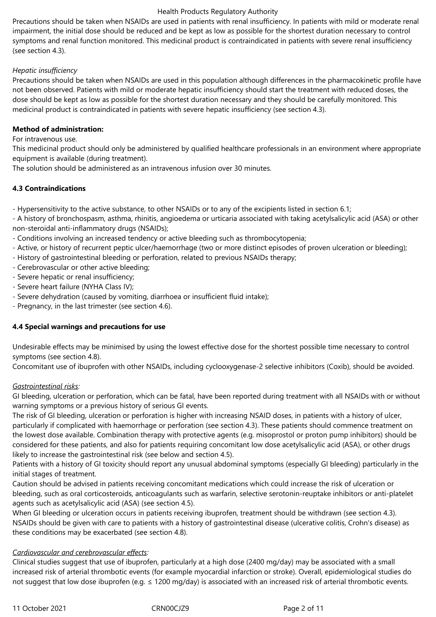Precautions should be taken when NSAIDs are used in patients with renal insufficiency. In patients with mild or moderate renal impairment, the initial dose should be reduced and be kept as low as possible for the shortest duration necessary to control symptoms and renal function monitored. This medicinal product is contraindicated in patients with severe renal insufficiency (see section 4.3).

# *Hepatic insufficiency*

Precautions should be taken when NSAIDs are used in this population although differences in the pharmacokinetic profile have not been observed. Patients with mild or moderate hepatic insufficiency should start the treatment with reduced doses, the dose should be kept as low as possible for the shortest duration necessary and they should be carefully monitored. This medicinal product is contraindicated in patients with severe hepatic insufficiency (see section 4.3).

#### **Method of administration:**

For intravenous use.

This medicinal product should only be administered by qualified healthcare professionals in an environment where appropriate equipment is available (during treatment).

The solution should be administered as an intravenous infusion over 30 minutes.

#### **4.3 Contraindications**

- Hypersensitivity to the active substance, to other NSAIDs or to any of the excipients listed in section 6.1;

- A history of bronchospasm, asthma, rhinitis, angioedema or urticaria associated with taking acetylsalicylic acid (ASA) or other non-steroidal anti-inflammatory drugs (NSAIDs);

- Conditions involving an increased tendency or active bleeding such as thrombocytopenia;

- Active, or history of recurrent peptic ulcer/haemorrhage (two or more distinct episodes of proven ulceration or bleeding);
- History of gastrointestinal bleeding or perforation, related to previous NSAIDs therapy;
- Cerebrovascular or other active bleeding;
- Severe hepatic or renal insufficiency;
- Severe heart failure (NYHA Class IV);
- Severe dehydration (caused by vomiting, diarrhoea or insufficient fluid intake);

- Pregnancy, in the last trimester (see section 4.6).

# **4.4 Special warnings and precautions for use**

Undesirable effects may be minimised by using the lowest effective dose for the shortest possible time necessary to control symptoms (see section 4.8).

Concomitant use of ibuprofen with other NSAIDs, including cyclooxygenase-2 selective inhibitors (Coxib), should be avoided.

#### *Gastrointestinal risks:*

GI bleeding, ulceration or perforation, which can be fatal, have been reported during treatment with all NSAIDs with or without warning symptoms or a previous history of serious GI events.

The risk of GI bleeding, ulceration or perforation is higher with increasing NSAID doses, in patients with a history of ulcer, particularly if complicated with haemorrhage or perforation (see section 4.3). These patients should commence treatment on the lowest dose available. Combination therapy with protective agents (e.g. misoprostol or proton pump inhibitors) should be considered for these patients, and also for patients requiring concomitant low dose acetylsalicylic acid (ASA), or other drugs likely to increase the gastrointestinal risk (see below and section 4.5).

Patients with a history of GI toxicity should report any unusual abdominal symptoms (especially GI bleeding) particularly in the initial stages of treatment.

Caution should be advised in patients receiving concomitant medications which could increase the risk of ulceration or bleeding, such as oral corticosteroids, anticoagulants such as warfarin, selective serotonin-reuptake inhibitors or anti-platelet agents such as acetylsalicylic acid (ASA) (see section 4.5).

When GI bleeding or ulceration occurs in patients receiving ibuprofen, treatment should be withdrawn (see section 4.3). NSAIDs should be given with care to patients with a history of gastrointestinal disease (ulcerative colitis, Crohn's disease) as these conditions may be exacerbated (see section 4.8).

#### *Cardiovascular and cerebrovascular effects:*

Clinical studies suggest that use of ibuprofen, particularly at a high dose (2400 mg/day) may be associated with a small increased risk of arterial thrombotic events (for example myocardial infarction or stroke). Overall, epidemiological studies do not suggest that low dose ibuprofen (e.g. ≤ 1200 mg/day) is associated with an increased risk of arterial thrombotic events.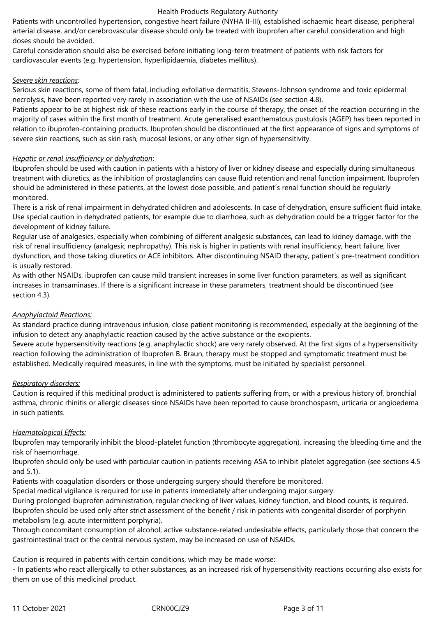Patients with uncontrolled hypertension, congestive heart failure (NYHA II-III), established ischaemic heart disease, peripheral arterial disease, and/or cerebrovascular disease should only be treated with ibuprofen after careful consideration and high doses should be avoided.

Careful consideration should also be exercised before initiating long-term treatment of patients with risk factors for cardiovascular events (e.g. hypertension, hyperlipidaemia, diabetes mellitus).

#### *Severe skin reactions:*

Serious skin reactions, some of them fatal, including exfoliative dermatitis, Stevens-Johnson syndrome and toxic epidermal necrolysis, have been reported very rarely in association with the use of NSAIDs (see section 4.8).

Patients appear to be at highest risk of these reactions early in the course of therapy, the onset of the reaction occurring in the majority of cases within the first month of treatment. Acute generalised exanthematous pustulosis (AGEP) has been reported in relation to ibuprofen-containing products. Ibuprofen should be discontinued at the first appearance of signs and symptoms of severe skin reactions, such as skin rash, mucosal lesions, or any other sign of hypersensitivity.

#### *Hepatic or renal insufficiency or dehydration*:

Ibuprofen should be used with caution in patients with a history of liver or kidney disease and especially during simultaneous treatment with diuretics, as the inhibition of prostaglandins can cause fluid retention and renal function impairment. Ibuprofen should be administered in these patients, at the lowest dose possible, and patient´s renal function should be regularly monitored.

There is a risk of renal impairment in dehydrated children and adolescents. In case of dehydration, ensure sufficient fluid intake. Use special caution in dehydrated patients, for example due to diarrhoea, such as dehydration could be a trigger factor for the development of kidney failure.

Regular use of analgesics, especially when combining of different analgesic substances, can lead to kidney damage, with the risk of renal insufficiency (analgesic nephropathy). This risk is higher in patients with renal insufficiency, heart failure, liver dysfunction, and those taking diuretics or ACE inhibitors. After discontinuing NSAID therapy, patient´s pre-treatment condition is usually restored.

As with other NSAIDs, ibuprofen can cause mild transient increases in some liver function parameters, as well as significant increases in transaminases. If there is a significant increase in these parameters, treatment should be discontinued (see section 4.3).

# *Anaphylactoid Reactions:*

As standard practice during intravenous infusion, close patient monitoring is recommended, especially at the beginning of the infusion to detect any anaphylactic reaction caused by the active substance or the excipients.

Severe acute hypersensitivity reactions (e.g. anaphylactic shock) are very rarely observed. At the first signs of a hypersensitivity reaction following the administration of Ibuprofen B. Braun, therapy must be stopped and symptomatic treatment must be established. Medically required measures, in line with the symptoms, must be initiated by specialist personnel.

# *Respiratory disorders:*

Caution is required if this medicinal product is administered to patients suffering from, or with a previous history of, bronchial asthma, chronic rhinitis or allergic diseases since NSAIDs have been reported to cause bronchospasm, urticaria or angioedema in such patients.

#### *Haematological Effects:*

Ibuprofen may temporarily inhibit the blood-platelet function (thrombocyte aggregation), increasing the bleeding time and the risk of haemorrhage.

Ibuprofen should only be used with particular caution in patients receiving ASA to inhibit platelet aggregation (see sections 4.5 and 5.1).

Patients with coagulation disorders or those undergoing surgery should therefore be monitored.

Special medical vigilance is required for use in patients immediately after undergoing major surgery.

During prolonged ibuprofen administration, regular checking of liver values, kidney function, and blood counts, is required. Ibuprofen should be used only after strict assessment of the benefit / risk in patients with congenital disorder of porphyrin metabolism (e.g. acute intermittent porphyria).

Through concomitant consumption of alcohol, active substance-related undesirable effects, particularly those that concern the gastrointestinal tract or the central nervous system, may be increased on use of NSAIDs.

Caution is required in patients with certain conditions, which may be made worse:

- In patients who react allergically to other substances, as an increased risk of hypersensitivity reactions occurring also exists for them on use of this medicinal product.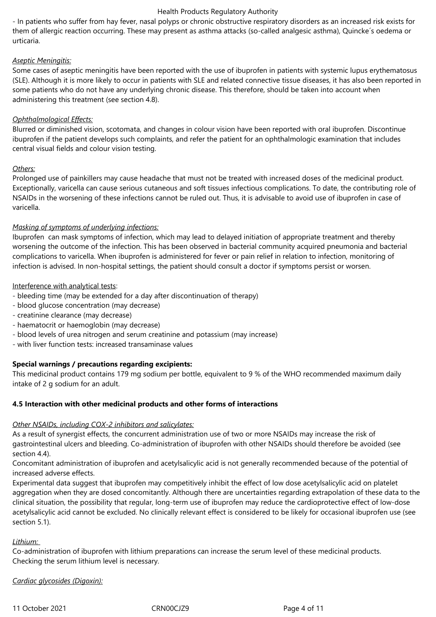- In patients who suffer from hay fever, nasal polyps or chronic obstructive respiratory disorders as an increased risk exists for them of allergic reaction occurring. These may present as asthma attacks (so-called analgesic asthma), Quincke´s oedema or urticaria.

# *Aseptic Meningitis:*

Some cases of aseptic meningitis have been reported with the use of ibuprofen in patients with systemic lupus erythematosus (SLE). Although it is more likely to occur in patients with SLE and related connective tissue diseases, it has also been reported in some patients who do not have any underlying chronic disease. This therefore, should be taken into account when administering this treatment (see section 4.8).

# *Ophthalmological Effects:*

Blurred or diminished vision, scotomata, and changes in colour vision have been reported with oral ibuprofen. Discontinue ibuprofen if the patient develops such complaints, and refer the patient for an ophthalmologic examination that includes central visual fields and colour vision testing.

# *Others:*

Prolonged use of painkillers may cause headache that must not be treated with increased doses of the medicinal product. Exceptionally, varicella can cause serious cutaneous and soft tissues infectious complications. To date, the contributing role of NSAIDs in the worsening of these infections cannot be ruled out. Thus, it is advisable to avoid use of ibuprofen in case of varicella.

# *Masking of symptoms of underlying infections:*

Ibuprofen can mask symptoms of infection, which may lead to delayed initiation of appropriate treatment and thereby worsening the outcome of the infection. This has been observed in bacterial community acquired pneumonia and bacterial complications to varicella. When ibuprofen is administered for fever or pain relief in relation to infection, monitoring of infection is advised. In non-hospital settings, the patient should consult a doctor if symptoms persist or worsen.

# Interference with analytical tests:

- bleeding time (may be extended for a day after discontinuation of therapy)
- blood glucose concentration (may decrease)
- creatinine clearance (may decrease)
- haematocrit or haemoglobin (may decrease)
- blood levels of urea nitrogen and serum creatinine and potassium (may increase)
- with liver function tests: increased transaminase values

# **Special warnings / precautions regarding excipients:**

This medicinal product contains 179 mg sodium per bottle, equivalent to 9 % of the WHO recommended maximum daily intake of 2 g sodium for an adult.

# **4.5 Interaction with other medicinal products and other forms of interactions**

# *Other NSAIDs, including COX-2 inhibitors and salicylates:*

As a result of synergist effects, the concurrent administration use of two or more NSAIDs may increase the risk of gastrointestinal ulcers and bleeding. Co-administration of ibuprofen with other NSAIDs should therefore be avoided (see section 4.4).

Concomitant administration of ibuprofen and acetylsalicylic acid is not generally recommended because of the potential of increased adverse effects.

Experimental data suggest that ibuprofen may competitively inhibit the effect of low dose acetylsalicylic acid on platelet aggregation when they are dosed concomitantly. Although there are uncertainties regarding extrapolation of these data to the clinical situation, the possibility that regular, long-term use of ibuprofen may reduce the cardioprotective effect of low-dose acetylsalicylic acid cannot be excluded. No clinically relevant effect is considered to be likely for occasional ibuprofen use (see section 5.1).

# *Lithium:*

Co-administration of ibuprofen with lithium preparations can increase the serum level of these medicinal products. Checking the serum lithium level is necessary.

*Cardiac glycosides (Digoxin):*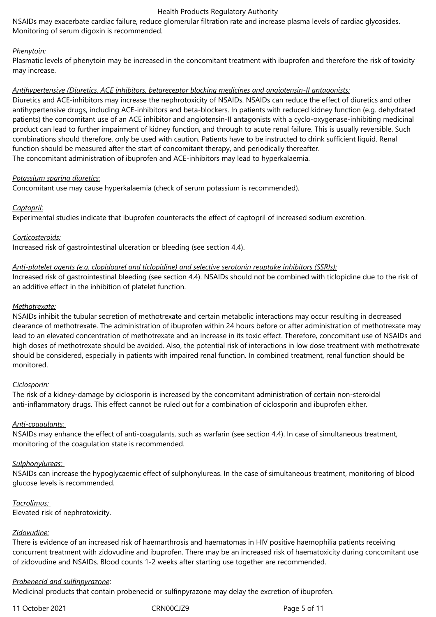NSAIDs may exacerbate cardiac failure, reduce glomerular filtration rate and increase plasma levels of cardiac glycosides. Monitoring of serum digoxin is recommended.

#### *Phenytoin:*

Plasmatic levels of phenytoin may be increased in the concomitant treatment with ibuprofen and therefore the risk of toxicity may increase.

#### *Antihypertensive (Diuretics, ACE inhibitors, betareceptor blocking medicines and angiotensin-II antagonists:*

Diuretics and ACE-inhibitors may increase the nephrotoxicity of NSAIDs. NSAIDs can reduce the effect of diuretics and other antihypertensive drugs, including ACE-inhibitors and beta-blockers. In patients with reduced kidney function (e.g. dehydrated patients) the concomitant use of an ACE inhibitor and angiotensin-II antagonists with a cyclo-oxygenase-inhibiting medicinal product can lead to further impairment of kidney function, and through to acute renal failure. This is usually reversible. Such combinations should therefore, only be used with caution. Patients have to be instructed to drink sufficient liquid. Renal function should be measured after the start of concomitant therapy, and periodically thereafter. The concomitant administration of ibuprofen and ACE-inhibitors may lead to hyperkalaemia.

#### *Potassium sparing diuretics:*

Concomitant use may cause hyperkalaemia (check of serum potassium is recommended).

#### *Captopril:*

Experimental studies indicate that ibuprofen counteracts the effect of captopril of increased sodium excretion.

*Corticosteroids:*

Increased risk of gastrointestinal ulceration or bleeding (see section 4.4).

#### *Anti-platelet agents (e.g. clopidogrel and ticlopidine) and selective serotonin reuptake inhibitors (SSRIs):*

Increased risk of gastrointestinal bleeding (see section 4.4). NSAIDs should not be combined with ticlopidine due to the risk of an additive effect in the inhibition of platelet function.

#### *Methotrexate:*

NSAIDs inhibit the tubular secretion of methotrexate and certain metabolic interactions may occur resulting in decreased clearance of methotrexate. The administration of ibuprofen within 24 hours before or after administration of methotrexate may lead to an elevated concentration of methotrexate and an increase in its toxic effect. Therefore, concomitant use of NSAIDs and high doses of methotrexate should be avoided. Also, the potential risk of interactions in low dose treatment with methotrexate should be considered, especially in patients with impaired renal function. In combined treatment, renal function should be monitored.

#### *Ciclosporin:*

The risk of a kidney-damage by ciclosporin is increased by the concomitant administration of certain non-steroidal anti-inflammatory drugs. This effect cannot be ruled out for a combination of ciclosporin and ibuprofen either.

#### *Anti-coagulants:*

NSAIDs may enhance the effect of anti-coagulants, such as warfarin (see section 4.4). In case of simultaneous treatment, monitoring of the coagulation state is recommended.

#### *Sulphonylureas:*

NSAIDs can increase the hypoglycaemic effect of sulphonylureas. In the case of simultaneous treatment, monitoring of blood glucose levels is recommended.

#### *Tacrolimus:*

Elevated risk of nephrotoxicity.

#### *Zidovudine:*

There is evidence of an increased risk of haemarthrosis and haematomas in HIV positive haemophilia patients receiving concurrent treatment with zidovudine and ibuprofen. There may be an increased risk of haematoxicity during concomitant use of zidovudine and NSAIDs. Blood counts 1-2 weeks after starting use together are recommended.

#### *Probenecid and sulfinpyrazone*:

Medicinal products that contain probenecid or sulfinpyrazone may delay the excretion of ibuprofen.

11 October 2021 CRN00CJZ9 Page 5 of 11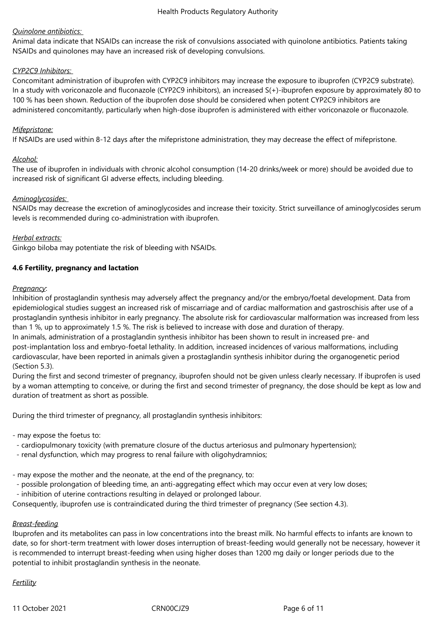### *Quinolone antibiotics:*

Animal data indicate that NSAIDs can increase the risk of convulsions associated with quinolone antibiotics. Patients taking NSAIDs and quinolones may have an increased risk of developing convulsions.

#### *CYP2C9 Inhibitors:*

Concomitant administration of ibuprofen with CYP2C9 inhibitors may increase the exposure to ibuprofen (CYP2C9 substrate). In a study with voriconazole and fluconazole (CYP2C9 inhibitors), an increased S(+)-ibuprofen exposure by approximately 80 to 100 % has been shown. Reduction of the ibuprofen dose should be considered when potent CYP2C9 inhibitors are administered concomitantly, particularly when high-dose ibuprofen is administered with either voriconazole or fluconazole.

#### *Mifepristone:*

If NSAIDs are used within 8-12 days after the mifepristone administration, they may decrease the effect of mifepristone.

#### *Alcohol:*

The use of ibuprofen in individuals with chronic alcohol consumption (14-20 drinks/week or more) should be avoided due to increased risk of significant GI adverse effects, including bleeding.

#### *Aminoglycosides:*

NSAIDs may decrease the excretion of aminoglycosides and increase their toxicity. Strict surveillance of aminoglycosides serum levels is recommended during co-administration with ibuprofen.

#### *Herbal extracts:*

Ginkgo biloba may potentiate the risk of bleeding with NSAIDs.

#### **4.6 Fertility, pregnancy and lactation**

#### *Pregnancy*:

Inhibition of prostaglandin synthesis may adversely affect the pregnancy and/or the embryo/foetal development. Data from epidemiological studies suggest an increased risk of miscarriage and of cardiac malformation and gastroschisis after use of a prostaglandin synthesis inhibitor in early pregnancy. The absolute risk for cardiovascular malformation was increased from less than 1 %, up to approximately 1.5 %. The risk is believed to increase with dose and duration of therapy. In animals, administration of a prostaglandin synthesis inhibitor has been shown to result in increased pre- and

post-implantation loss and embryo-foetal lethality. In addition, increased incidences of various malformations, including cardiovascular, have been reported in animals given a prostaglandin synthesis inhibitor during the organogenetic period (Section 5.3).

During the first and second trimester of pregnancy, ibuprofen should not be given unless clearly necessary. If ibuprofen is used by a woman attempting to conceive, or during the first and second trimester of pregnancy, the dose should be kept as low and duration of treatment as short as possible.

During the third trimester of pregnancy, all prostaglandin synthesis inhibitors:

- may expose the foetus to:

- cardiopulmonary toxicity (with premature closure of the ductus arteriosus and pulmonary hypertension);

- renal dysfunction, which may progress to renal failure with oligohydramnios;

- may expose the mother and the neonate, at the end of the pregnancy, to:

- possible prolongation of bleeding time, an anti-aggregating effect which may occur even at very low doses;
- inhibition of uterine contractions resulting in delayed or prolonged labour.

Consequently, ibuprofen use is contraindicated during the third trimester of pregnancy (See section 4.3).

# *Breast-feeding*

Ibuprofen and its metabolites can pass in low concentrations into the breast milk. No harmful effects to infants are known to date, so for short-term treatment with lower doses interruption of breast-feeding would generally not be necessary, however it is recommended to interrupt breast-feeding when using higher doses than 1200 mg daily or longer periods due to the potential to inhibit prostaglandin synthesis in the neonate.

# *Fertility*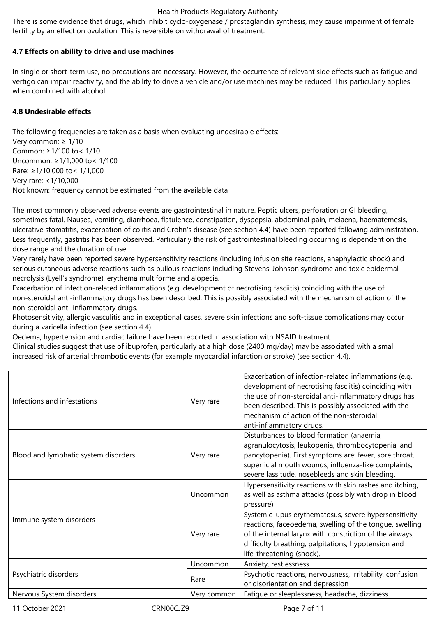There is some evidence that drugs, which inhibit cyclo-oxygenase / prostaglandin synthesis, may cause impairment of female fertility by an effect on ovulation. This is reversible on withdrawal of treatment.

# **4.7 Effects on ability to drive and use machines**

In single or short-term use, no precautions are necessary. However, the occurrence of relevant side effects such as fatigue and vertigo can impair reactivity, and the ability to drive a vehicle and/or use machines may be reduced. This particularly applies when combined with alcohol.

#### **4.8 Undesirable effects**

The following frequencies are taken as a basis when evaluating undesirable effects: Very common: ≥ 1/10 Common: ≥1/100 to< 1/10 Uncommon: ≥1/1,000 to< 1/100 Rare: ≥1/10,000 to< 1/1,000 Very rare: <1/10,000 Not known: frequency cannot be estimated from the available data

The most commonly observed adverse events are gastrointestinal in nature. Peptic ulcers, perforation or GI bleeding, sometimes fatal. Nausea, vomiting, diarrhoea, flatulence, constipation, dyspepsia, abdominal pain, melaena, haematemesis, ulcerative stomatitis, exacerbation of colitis and Crohn's disease (see section 4.4) have been reported following administration. Less frequently, gastritis has been observed. Particularly the risk of gastrointestinal bleeding occurring is dependent on the dose range and the duration of use.

Very rarely have been reported severe hypersensitivity reactions (including infusion site reactions, anaphylactic shock) and serious cutaneous adverse reactions such as bullous reactions including Stevens-Johnson syndrome and toxic epidermal necrolysis (Lyell's syndrome), erythema multiforme and alopecia.

Exacerbation of infection-related inflammations (e.g. development of necrotising fasciitis) coinciding with the use of non-steroidal anti-inflammatory drugs has been described. This is possibly associated with the mechanism of action of the non-steroidal anti-inflammatory drugs.

Photosensitivity, allergic vasculitis and in exceptional cases, severe skin infections and soft-tissue complications may occur during a varicella infection (see section 4.4).

Oedema, hypertension and cardiac failure have been reported in association with NSAID treatment.

Clinical studies suggest that use of ibuprofen, particularly at a high dose (2400 mg/day) may be associated with a small increased risk of arterial thrombotic events (for example myocardial infarction or stroke) (see section 4.4).

| Infections and infestations          | Very rare   | Exacerbation of infection-related inflammations (e.g.<br>development of necrotising fasciitis) coinciding with<br>the use of non-steroidal anti-inflammatory drugs has<br>been described. This is possibly associated with the<br>mechanism of action of the non-steroidal<br>anti-inflammatory drugs. |
|--------------------------------------|-------------|--------------------------------------------------------------------------------------------------------------------------------------------------------------------------------------------------------------------------------------------------------------------------------------------------------|
| Blood and lymphatic system disorders | Very rare   | Disturbances to blood formation (anaemia,<br>agranulocytosis, leukopenia, thrombocytopenia, and<br>pancytopenia). First symptoms are: fever, sore throat,<br>superficial mouth wounds, influenza-like complaints,<br>severe lassitude, nosebleeds and skin bleeding.                                   |
|                                      | Uncommon    | Hypersensitivity reactions with skin rashes and itching,<br>as well as asthma attacks (possibly with drop in blood<br>pressure)                                                                                                                                                                        |
| Immune system disorders              | Very rare   | Systemic lupus erythematosus, severe hypersensitivity<br>reactions, faceoedema, swelling of the tongue, swelling<br>of the internal larynx with constriction of the airways,<br>difficulty breathing, palpitations, hypotension and<br>life-threatening (shock).                                       |
| Psychiatric disorders                | Uncommon    | Anxiety, restlessness                                                                                                                                                                                                                                                                                  |
|                                      | Rare        | Psychotic reactions, nervousness, irritability, confusion<br>or disorientation and depression                                                                                                                                                                                                          |
| Nervous System disorders             | Very common | Fatigue or sleeplessness, headache, dizziness                                                                                                                                                                                                                                                          |
|                                      |             |                                                                                                                                                                                                                                                                                                        |

11 October 2021 CRN00CJZ9 Page 7 of 11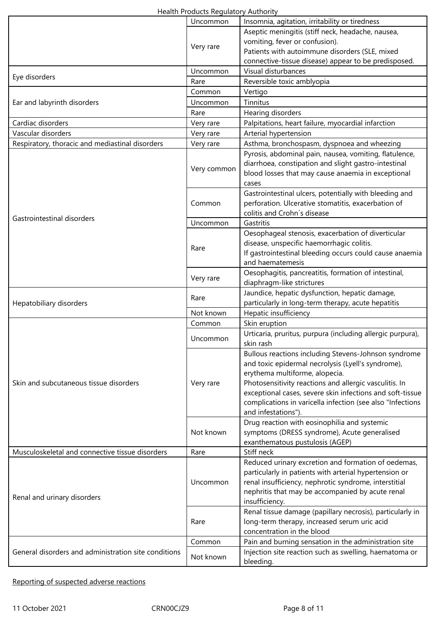| Health Products Regulatory Authority |  |
|--------------------------------------|--|
|--------------------------------------|--|

|                                                      | Uncommon    | Insomnia, agitation, irritability or tiredness                          |
|------------------------------------------------------|-------------|-------------------------------------------------------------------------|
|                                                      |             | Aseptic meningitis (stiff neck, headache, nausea,                       |
|                                                      | Very rare   | vomiting, fever or confusion).                                          |
|                                                      |             | Patients with autoimmune disorders (SLE, mixed                          |
|                                                      |             | connective-tissue disease) appear to be predisposed.                    |
| Eye disorders                                        | Uncommon    | Visual disturbances                                                     |
|                                                      | Rare        | Reversible toxic amblyopia                                              |
| Ear and labyrinth disorders                          | Common      | Vertigo                                                                 |
|                                                      | Uncommon    | Tinnitus                                                                |
|                                                      | Rare        | Hearing disorders                                                       |
| Cardiac disorders                                    | Very rare   | Palpitations, heart failure, myocardial infarction                      |
| Vascular disorders                                   | Very rare   | Arterial hypertension                                                   |
| Respiratory, thoracic and mediastinal disorders      | Very rare   | Asthma, bronchospasm, dyspnoea and wheezing                             |
|                                                      | Very common | Pyrosis, abdominal pain, nausea, vomiting, flatulence,                  |
|                                                      |             | diarrhoea, constipation and slight gastro-intestinal                    |
|                                                      |             | blood losses that may cause anaemia in exceptional                      |
|                                                      |             | cases                                                                   |
|                                                      |             | Gastrointestinal ulcers, potentially with bleeding and                  |
|                                                      | Common      | perforation. Ulcerative stomatitis, exacerbation of                     |
| Gastrointestinal disorders                           |             | colitis and Crohn's disease                                             |
|                                                      | Uncommon    | Gastritis                                                               |
|                                                      |             | Oesophageal stenosis, exacerbation of diverticular                      |
|                                                      | Rare        | disease, unspecific haemorrhagic colitis.                               |
|                                                      |             | If gastrointestinal bleeding occurs could cause anaemia                 |
|                                                      |             | and haematemesis                                                        |
|                                                      | Very rare   | Oesophagitis, pancreatitis, formation of intestinal,                    |
|                                                      |             | diaphragm-like strictures                                               |
|                                                      | Rare        | Jaundice, hepatic dysfunction, hepatic damage,                          |
| Hepatobiliary disorders                              |             | particularly in long-term therapy, acute hepatitis                      |
|                                                      | Not known   | Hepatic insufficiency                                                   |
|                                                      | Common      | Skin eruption                                                           |
|                                                      | Uncommon    | Urticaria, pruritus, purpura (including allergic purpura),<br>skin rash |
|                                                      |             | Bullous reactions including Stevens-Johnson syndrome                    |
|                                                      |             | and toxic epidermal necrolysis (Lyell's syndrome),                      |
|                                                      |             | erythema multiforme, alopecia.                                          |
| Skin and subcutaneous tissue disorders               | Very rare   | Photosensitivity reactions and allergic vasculitis. In                  |
|                                                      |             | exceptional cases, severe skin infections and soft-tissue               |
|                                                      |             | complications in varicella infection (see also "Infections              |
|                                                      |             | and infestations").                                                     |
|                                                      |             | Drug reaction with eosinophilia and systemic                            |
|                                                      | Not known   | symptoms (DRESS syndrome), Acute generalised                            |
|                                                      |             | exanthematous pustulosis (AGEP)                                         |
| Musculoskeletal and connective tissue disorders      | Rare        | Stiff neck                                                              |
| Renal and urinary disorders                          | Uncommon    | Reduced urinary excretion and formation of oedemas,                     |
|                                                      |             | particularly in patients with arterial hypertension or                  |
|                                                      |             | renal insufficiency, nephrotic syndrome, interstitial                   |
|                                                      |             | nephritis that may be accompanied by acute renal                        |
|                                                      |             | insufficiency.                                                          |
|                                                      | Rare        | Renal tissue damage (papillary necrosis), particularly in               |
|                                                      |             | long-term therapy, increased serum uric acid                            |
|                                                      |             | concentration in the blood                                              |
| General disorders and administration site conditions | Common      | Pain and burning sensation in the administration site                   |
|                                                      |             | Injection site reaction such as swelling, haematoma or                  |
|                                                      | Not known   | bleeding.                                                               |

# Reporting of suspected adverse reactions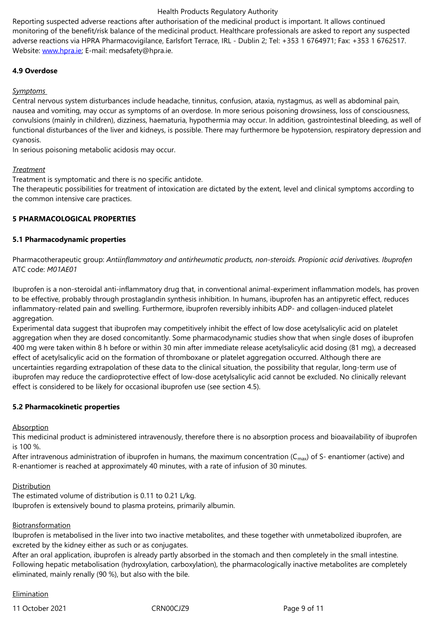adverse reactions via HPRA Pharmacovigilance, Earlsfort Terrace, IRL - Dublin 2; Tel: +353 1 6764971; Fax: +353 1 6762517. Website: www.hpra.ie; E-mail: medsafety@hpra.ie.

# **4.9 Overdose**

*Sympto[ms](http://www.hpra.ie/)* 

Central nervous system disturbances include headache, tinnitus, confusion, ataxia, nystagmus, as well as abdominal pain, nausea and vomiting, may occur as symptoms of an overdose. In more serious poisoning drowsiness, loss of consciousness, convulsions (mainly in children), dizziness, haematuria, hypothermia may occur. In addition, gastrointestinal bleeding, as well of functional disturbances of the liver and kidneys, is possible. There may furthermore be hypotension, respiratory depression and cyanosis.

In serious poisoning metabolic acidosis may occur.

#### *Treatment*

Treatment is symptomatic and there is no specific antidote.

The therapeutic possibilities for treatment of intoxication are dictated by the extent, level and clinical symptoms according to the common intensive care practices.

#### **5 PHARMACOLOGICAL PROPERTIES**

#### **5.1 Pharmacodynamic properties**

Pharmacotherapeutic group: *Antiinflammatory and antirheumatic products, non-steroids. Propionic acid derivatives. Ibuprofen* ATC code: *M01AE01*

Ibuprofen is a non-steroidal anti-inflammatory drug that, in conventional animal-experiment inflammation models, has proven to be effective, probably through prostaglandin synthesis inhibition. In humans, ibuprofen has an antipyretic effect, reduces inflammatory-related pain and swelling. Furthermore, ibuprofen reversibly inhibits ADP- and collagen-induced platelet aggregation.

Experimental data suggest that ibuprofen may competitively inhibit the effect of low dose acetylsalicylic acid on platelet aggregation when they are dosed concomitantly. Some pharmacodynamic studies show that when single doses of ibuprofen 400 mg were taken within 8 h before or within 30 min after immediate release acetylsalicylic acid dosing (81 mg), a decreased effect of acetylsalicylic acid on the formation of thromboxane or platelet aggregation occurred. Although there are uncertainties regarding extrapolation of these data to the clinical situation, the possibility that regular, long-term use of ibuprofen may reduce the cardioprotective effect of low-dose acetylsalicylic acid cannot be excluded. No clinically relevant effect is considered to be likely for occasional ibuprofen use (see section 4.5).

#### **5.2 Pharmacokinetic properties**

#### **Absorption**

This medicinal product is administered intravenously, therefore there is no absorption process and bioavailability of ibuprofen is 100 %.

After intravenous administration of ibuprofen in humans, the maximum concentration ( $C_{\text{max}}$ ) of S- enantiomer (active) and R-enantiomer is reached at approximately 40 minutes, with a rate of infusion of 30 minutes.

#### **Distribution**

The estimated volume of distribution is 0.11 to 0.21 L/kg. Ibuprofen is extensively bound to plasma proteins, primarily albumin.

#### Biotransformation

Ibuprofen is metabolised in the liver into two inactive metabolites, and these together with unmetabolized ibuprofen, are excreted by the kidney either as such or as conjugates.

After an oral application, ibuprofen is already partly absorbed in the stomach and then completely in the small intestine. Following hepatic metabolisation (hydroxylation, carboxylation), the pharmacologically inactive metabolites are completely eliminated, mainly renally (90 %), but also with the bile.

#### Elimination

11 October 2021 CRN00CJZ9 Page 9 of 11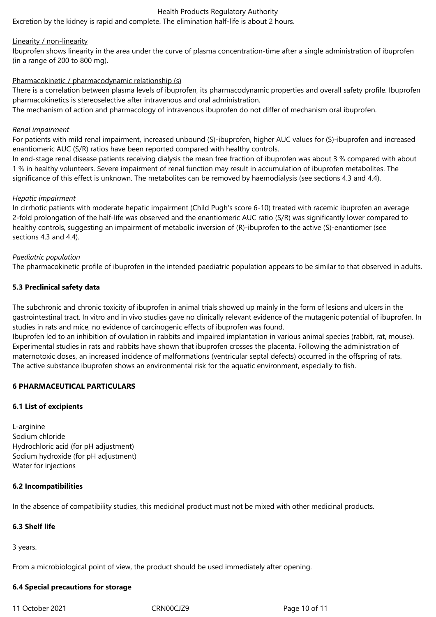Excretion by the kidney is rapid and complete. The elimination half-life is about 2 hours.

#### Linearity / non-linearity

Ibuprofen shows linearity in the area under the curve of plasma concentration-time after a single administration of ibuprofen (in a range of 200 to 800 mg).

#### Pharmacokinetic / pharmacodynamic relationship (s)

There is a correlation between plasma levels of ibuprofen, its pharmacodynamic properties and overall safety profile. Ibuprofen pharmacokinetics is stereoselective after intravenous and oral administration.

The mechanism of action and pharmacology of intravenous ibuprofen do not differ of mechanism oral ibuprofen.

#### *Renal impairment*

For patients with mild renal impairment, increased unbound (S)-ibuprofen, higher AUC values for (S)-ibuprofen and increased enantiomeric AUC (S/R) ratios have been reported compared with healthy controls.

In end-stage renal disease patients receiving dialysis the mean free fraction of ibuprofen was about 3 % compared with about 1 % in healthy volunteers. Severe impairment of renal function may result in accumulation of ibuprofen metabolites. The significance of this effect is unknown. The metabolites can be removed by haemodialysis (see sections 4.3 and 4.4).

#### *Hepatic impairment*

In cirrhotic patients with moderate hepatic impairment (Child Pugh's score 6-10) treated with racemic ibuprofen an average 2-fold prolongation of the half-life was observed and the enantiomeric AUC ratio (S/R) was significantly lower compared to healthy controls, suggesting an impairment of metabolic inversion of (R)-ibuprofen to the active (S)-enantiomer (see sections 4.3 and 4.4).

#### *Paediatric population*

The pharmacokinetic profile of ibuprofen in the intended paediatric population appears to be similar to that observed in adults.

#### **5.3 Preclinical safety data**

The subchronic and chronic toxicity of ibuprofen in animal trials showed up mainly in the form of lesions and ulcers in the gastrointestinal tract. In vitro and in vivo studies gave no clinically relevant evidence of the mutagenic potential of ibuprofen. In studies in rats and mice, no evidence of carcinogenic effects of ibuprofen was found.

Ibuprofen led to an inhibition of ovulation in rabbits and impaired implantation in various animal species (rabbit, rat, mouse). Experimental studies in rats and rabbits have shown that ibuprofen crosses the placenta. Following the administration of maternotoxic doses, an increased incidence of malformations (ventricular septal defects) occurred in the offspring of rats. The active substance ibuprofen shows an environmental risk for the aquatic environment, especially to fish.

# **6 PHARMACEUTICAL PARTICULARS**

#### **6.1 List of excipients**

L-arginine Sodium chloride Hydrochloric acid (for pH adjustment) Sodium hydroxide (for pH adjustment) Water for injections

#### **6.2 Incompatibilities**

In the absence of compatibility studies, this medicinal product must not be mixed with other medicinal products.

# **6.3 Shelf life**

3 years.

From a microbiological point of view, the product should be used immediately after opening.

# **6.4 Special precautions for storage**

11 October 2021 CRN00CJZ9 Page 10 of 11